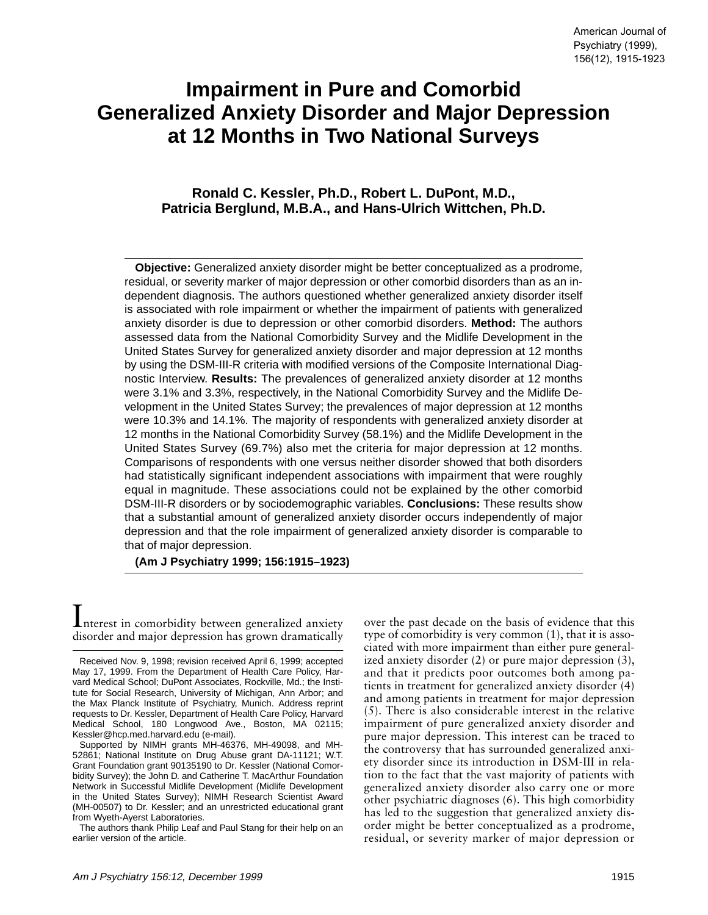# **Impairment in Pure and Comorbid Generalized Anxiety Disorder and Major Depression at 12 Months in Two National Surveys**

# **Ronald C. Kessler, Ph.D., Robert L. DuPont, M.D., Patricia Berglund, M.B.A., and Hans-Ulrich Wittchen, Ph.D.**

**Objective:** Generalized anxiety disorder might be better conceptualized as a prodrome, residual, or severity marker of major depression or other comorbid disorders than as an independent diagnosis. The authors questioned whether generalized anxiety disorder itself is associated with role impairment or whether the impairment of patients with generalized anxiety disorder is due to depression or other comorbid disorders. **Method:** The authors assessed data from the National Comorbidity Survey and the Midlife Development in the United States Survey for generalized anxiety disorder and major depression at 12 months by using the DSM-III-R criteria with modified versions of the Composite International Diagnostic Interview. **Results:** The prevalences of generalized anxiety disorder at 12 months were 3.1% and 3.3%, respectively, in the National Comorbidity Survey and the Midlife Development in the United States Survey; the prevalences of major depression at 12 months were 10.3% and 14.1%. The majority of respondents with generalized anxiety disorder at 12 months in the National Comorbidity Survey (58.1%) and the Midlife Development in the United States Survey (69.7%) also met the criteria for major depression at 12 months. Comparisons of respondents with one versus neither disorder showed that both disorders had statistically significant independent associations with impairment that were roughly equal in magnitude. These associations could not be explained by the other comorbid DSM-III-R disorders or by sociodemographic variables. **Conclusions:** These results show that a substantial amount of generalized anxiety disorder occurs independently of major depression and that the role impairment of generalized anxiety disorder is comparable to that of major depression.

**(Am J Psychiatry 1999; 156:1915–1923)**

Interest in comorbidity between generalized anxiety disorder and major depression has grown dramatically

The authors thank Philip Leaf and Paul Stang for their help on an earlier version of the article.

over the past decade on the basis of evidence that this type of comorbidity is very common (1), that it is associated with more impairment than either pure generalized anxiety disorder (2) or pure major depression (3), and that it predicts poor outcomes both among patients in treatment for generalized anxiety disorder (4) and among patients in treatment for major depression (5). There is also considerable interest in the relative impairment of pure generalized anxiety disorder and pure major depression. This interest can be traced to the controversy that has surrounded generalized anxiety disorder since its introduction in DSM-III in relation to the fact that the vast majority of patients with generalized anxiety disorder also carry one or more other psychiatric diagnoses (6). This high comorbidity has led to the suggestion that generalized anxiety disorder might be better conceptualized as a prodrome, residual, or severity marker of major depression or

Received Nov. 9, 1998; revision received April 6, 1999; accepted May 17, 1999. From the Department of Health Care Policy, Harvard Medical School; DuPont Associates, Rockville, Md.; the Institute for Social Research, University of Michigan, Ann Arbor; and the Max Planck Institute of Psychiatry, Munich. Address reprint requests to Dr. Kessler, Department of Health Care Policy, Harvard Medical School, 180 Longwood Ave., Boston, MA 02115; Kessler@hcp.med.harvard.edu (e-mail).

Supported by NIMH grants MH-46376, MH-49098, and MH-52861; National Institute on Drug Abuse grant DA-11121; W.T. Grant Foundation grant 90135190 to Dr. Kessler (National Comorbidity Survey); the John D. and Catherine T. MacArthur Foundation Network in Successful Midlife Development (Midlife Development in the United States Survey); NIMH Research Scientist Award (MH-00507) to Dr. Kessler; and an unrestricted educational grant from Wyeth-Ayerst Laboratories.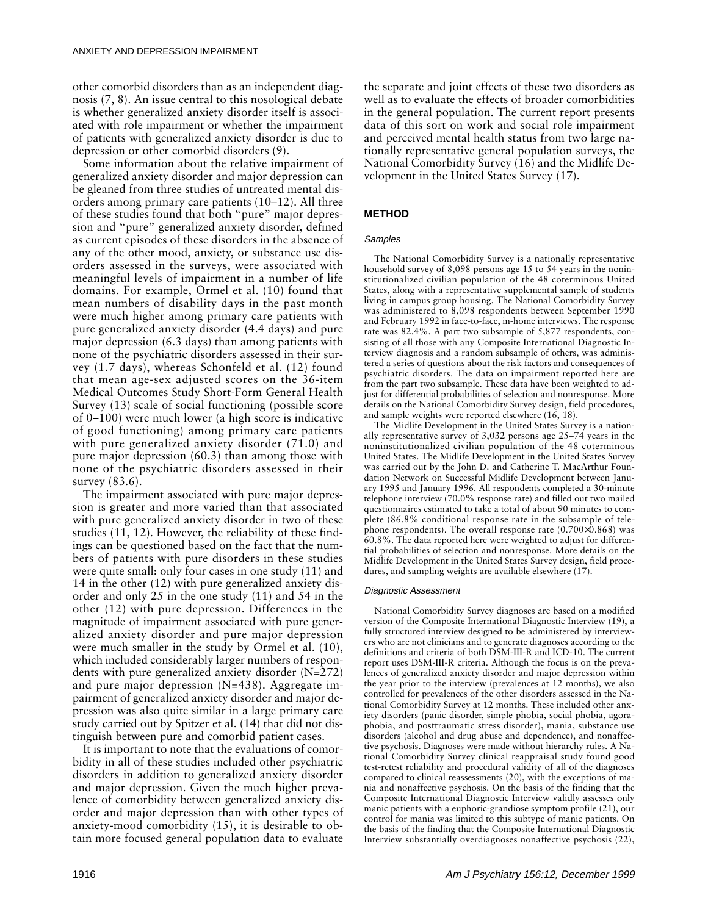other comorbid disorders than as an independent diagnosis (7, 8). An issue central to this nosological debate is whether generalized anxiety disorder itself is associated with role impairment or whether the impairment of patients with generalized anxiety disorder is due to depression or other comorbid disorders (9).

Some information about the relative impairment of generalized anxiety disorder and major depression can be gleaned from three studies of untreated mental disorders among primary care patients (10–12). All three of these studies found that both "pure" major depression and "pure" generalized anxiety disorder, defined as current episodes of these disorders in the absence of any of the other mood, anxiety, or substance use disorders assessed in the surveys, were associated with meaningful levels of impairment in a number of life domains. For example, Ormel et al. (10) found that mean numbers of disability days in the past month were much higher among primary care patients with pure generalized anxiety disorder (4.4 days) and pure major depression (6.3 days) than among patients with none of the psychiatric disorders assessed in their survey (1.7 days), whereas Schonfeld et al. (12) found that mean age-sex adjusted scores on the 36-item Medical Outcomes Study Short-Form General Health Survey (13) scale of social functioning (possible score of 0–100) were much lower (a high score is indicative of good functioning) among primary care patients with pure generalized anxiety disorder (71.0) and pure major depression (60.3) than among those with none of the psychiatric disorders assessed in their survey (83.6).

The impairment associated with pure major depression is greater and more varied than that associated with pure generalized anxiety disorder in two of these studies (11, 12). However, the reliability of these findings can be questioned based on the fact that the numbers of patients with pure disorders in these studies were quite small: only four cases in one study (11) and 14 in the other (12) with pure generalized anxiety disorder and only 25 in the one study (11) and 54 in the other (12) with pure depression. Differences in the magnitude of impairment associated with pure generalized anxiety disorder and pure major depression were much smaller in the study by Ormel et al. (10), which included considerably larger numbers of respondents with pure generalized anxiety disorder (N=272) and pure major depression (N=438). Aggregate impairment of generalized anxiety disorder and major depression was also quite similar in a large primary care study carried out by Spitzer et al. (14) that did not distinguish between pure and comorbid patient cases.

It is important to note that the evaluations of comorbidity in all of these studies included other psychiatric disorders in addition to generalized anxiety disorder and major depression. Given the much higher prevalence of comorbidity between generalized anxiety disorder and major depression than with other types of anxiety-mood comorbidity (15), it is desirable to obtain more focused general population data to evaluate

the separate and joint effects of these two disorders as well as to evaluate the effects of broader comorbidities in the general population. The current report presents data of this sort on work and social role impairment and perceived mental health status from two large nationally representative general population surveys, the National Comorbidity Survey (16) and the Midlife Development in the United States Survey (17).

# **METHOD**

## Samples

The National Comorbidity Survey is a nationally representative household survey of 8,098 persons age 15 to 54 years in the noninstitutionalized civilian population of the 48 coterminous United States, along with a representative supplemental sample of students living in campus group housing. The National Comorbidity Survey was administered to 8,098 respondents between September 1990 and February 1992 in face-to-face, in-home interviews. The response rate was 82.4%. A part two subsample of 5,877 respondents, consisting of all those with any Composite International Diagnostic Interview diagnosis and a random subsample of others, was administered a series of questions about the risk factors and consequences of psychiatric disorders. The data on impairment reported here are from the part two subsample. These data have been weighted to adjust for differential probabilities of selection and nonresponse. More details on the National Comorbidity Survey design, field procedures, and sample weights were reported elsewhere (16, 18).

The Midlife Development in the United States Survey is a nationally representative survey of 3,032 persons age 25–74 years in the noninstitutionalized civilian population of the 48 coterminous United States. The Midlife Development in the United States Survey was carried out by the John D. and Catherine T. MacArthur Foundation Network on Successful Midlife Development between January 1995 and January 1996. All respondents completed a 30-minute telephone interview (70.0% response rate) and filled out two mailed questionnaires estimated to take a total of about 90 minutes to complete (86.8% conditional response rate in the subsample of telephone respondents). The overall response rate (0.700×0.868) was 60.8%. The data reported here were weighted to adjust for differential probabilities of selection and nonresponse. More details on the Midlife Development in the United States Survey design, field procedures, and sampling weights are available elsewhere (17).

#### Diagnostic Assessment

National Comorbidity Survey diagnoses are based on a modified version of the Composite International Diagnostic Interview (19), a fully structured interview designed to be administered by interviewers who are not clinicians and to generate diagnoses according to the definitions and criteria of both DSM-III-R and ICD-10. The current report uses DSM-III-R criteria. Although the focus is on the prevalences of generalized anxiety disorder and major depression within the year prior to the interview (prevalences at 12 months), we also controlled for prevalences of the other disorders assessed in the National Comorbidity Survey at 12 months. These included other anxiety disorders (panic disorder, simple phobia, social phobia, agoraphobia, and posttraumatic stress disorder), mania, substance use disorders (alcohol and drug abuse and dependence), and nonaffective psychosis. Diagnoses were made without hierarchy rules. A National Comorbidity Survey clinical reappraisal study found good test-retest reliability and procedural validity of all of the diagnoses compared to clinical reassessments (20), with the exceptions of mania and nonaffective psychosis. On the basis of the finding that the Composite International Diagnostic Interview validly assesses only manic patients with a euphoric-grandiose symptom profile (21), our control for mania was limited to this subtype of manic patients. On the basis of the finding that the Composite International Diagnostic Interview substantially overdiagnoses nonaffective psychosis (22),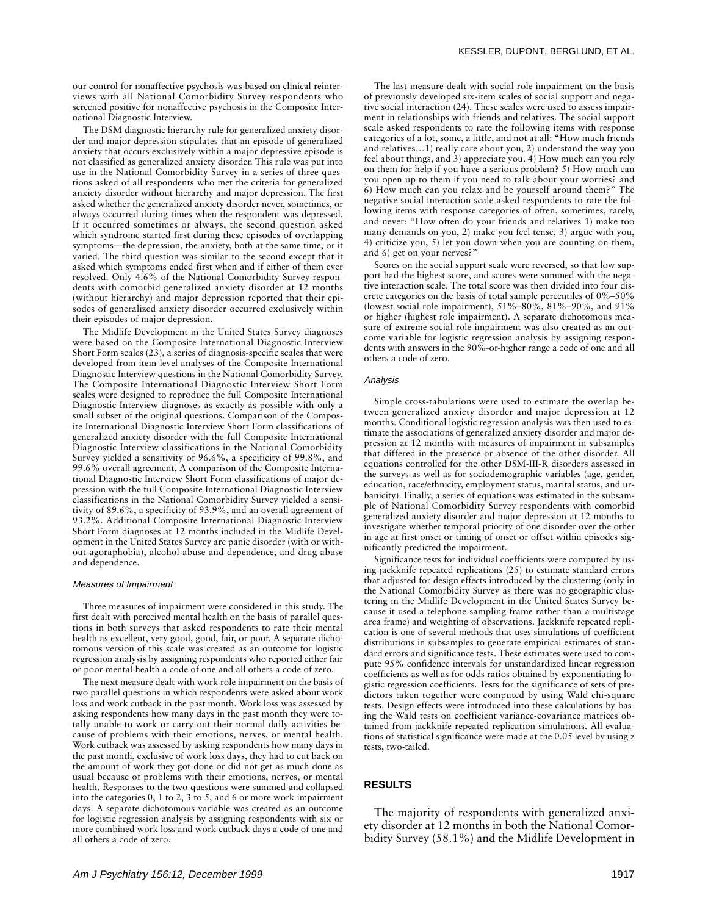our control for nonaffective psychosis was based on clinical reinterviews with all National Comorbidity Survey respondents who screened positive for nonaffective psychosis in the Composite International Diagnostic Interview.

The DSM diagnostic hierarchy rule for generalized anxiety disorder and major depression stipulates that an episode of generalized anxiety that occurs exclusively within a major depressive episode is not classified as generalized anxiety disorder. This rule was put into use in the National Comorbidity Survey in a series of three questions asked of all respondents who met the criteria for generalized anxiety disorder without hierarchy and major depression. The first asked whether the generalized anxiety disorder never, sometimes, or always occurred during times when the respondent was depressed. If it occurred sometimes or always, the second question asked which syndrome started first during these episodes of overlapping symptoms—the depression, the anxiety, both at the same time, or it varied. The third question was similar to the second except that it asked which symptoms ended first when and if either of them ever resolved. Only 4.6% of the National Comorbidity Survey respondents with comorbid generalized anxiety disorder at 12 months (without hierarchy) and major depression reported that their episodes of generalized anxiety disorder occurred exclusively within their episodes of major depression.

The Midlife Development in the United States Survey diagnoses were based on the Composite International Diagnostic Interview Short Form scales (23), a series of diagnosis-specific scales that were developed from item-level analyses of the Composite International Diagnostic Interview questions in the National Comorbidity Survey. The Composite International Diagnostic Interview Short Form scales were designed to reproduce the full Composite International Diagnostic Interview diagnoses as exactly as possible with only a small subset of the original questions. Comparison of the Composite International Diagnostic Interview Short Form classifications of generalized anxiety disorder with the full Composite International Diagnostic Interview classifications in the National Comorbidity Survey yielded a sensitivity of 96.6%, a specificity of 99.8%, and 99.6% overall agreement. A comparison of the Composite International Diagnostic Interview Short Form classifications of major depression with the full Composite International Diagnostic Interview classifications in the National Comorbidity Survey yielded a sensitivity of 89.6%, a specificity of 93.9%, and an overall agreement of 93.2%. Additional Composite International Diagnostic Interview Short Form diagnoses at 12 months included in the Midlife Development in the United States Survey are panic disorder (with or without agoraphobia), alcohol abuse and dependence, and drug abuse and dependence.

#### Measures of Impairment

Three measures of impairment were considered in this study. The first dealt with perceived mental health on the basis of parallel questions in both surveys that asked respondents to rate their mental health as excellent, very good, good, fair, or poor. A separate dichotomous version of this scale was created as an outcome for logistic regression analysis by assigning respondents who reported either fair or poor mental health a code of one and all others a code of zero.

The next measure dealt with work role impairment on the basis of two parallel questions in which respondents were asked about work loss and work cutback in the past month. Work loss was assessed by asking respondents how many days in the past month they were totally unable to work or carry out their normal daily activities because of problems with their emotions, nerves, or mental health. Work cutback was assessed by asking respondents how many days in the past month, exclusive of work loss days, they had to cut back on the amount of work they got done or did not get as much done as usual because of problems with their emotions, nerves, or mental health. Responses to the two questions were summed and collapsed into the categories 0, 1 to 2, 3 to 5, and 6 or more work impairment days. A separate dichotomous variable was created as an outcome for logistic regression analysis by assigning respondents with six or more combined work loss and work cutback days a code of one and all others a code of zero.

The last measure dealt with social role impairment on the basis of previously developed six-item scales of social support and negative social interaction (24). These scales were used to assess impairment in relationships with friends and relatives. The social support scale asked respondents to rate the following items with response categories of a lot, some, a little, and not at all: "How much friends and relatives…1) really care about you, 2) understand the way you feel about things, and 3) appreciate you. 4) How much can you rely on them for help if you have a serious problem? 5) How much can you open up to them if you need to talk about your worries? and 6) How much can you relax and be yourself around them?" The negative social interaction scale asked respondents to rate the following items with response categories of often, sometimes, rarely, and never: "How often do your friends and relatives 1) make too many demands on you, 2) make you feel tense, 3) argue with you, 4) criticize you, 5) let you down when you are counting on them, and 6) get on your nerves?"

Scores on the social support scale were reversed, so that low support had the highest score, and scores were summed with the negative interaction scale. The total score was then divided into four discrete categories on the basis of total sample percentiles of 0%–50% (lowest social role impairment), 51%–80%, 81%–90%, and 91% or higher (highest role impairment). A separate dichotomous measure of extreme social role impairment was also created as an outcome variable for logistic regression analysis by assigning respondents with answers in the 90%-or-higher range a code of one and all others a code of zero.

#### Analysis

Simple cross-tabulations were used to estimate the overlap between generalized anxiety disorder and major depression at 12 months. Conditional logistic regression analysis was then used to estimate the associations of generalized anxiety disorder and major depression at 12 months with measures of impairment in subsamples that differed in the presence or absence of the other disorder. All equations controlled for the other DSM-III-R disorders assessed in the surveys as well as for sociodemographic variables (age, gender, education, race/ethnicity, employment status, marital status, and urbanicity). Finally, a series of equations was estimated in the subsample of National Comorbidity Survey respondents with comorbid generalized anxiety disorder and major depression at 12 months to investigate whether temporal priority of one disorder over the other in age at first onset or timing of onset or offset within episodes significantly predicted the impairment.

Significance tests for individual coefficients were computed by using jackknife repeated replications (25) to estimate standard errors that adjusted for design effects introduced by the clustering (only in the National Comorbidity Survey as there was no geographic clustering in the Midlife Development in the United States Survey because it used a telephone sampling frame rather than a multistage area frame) and weighting of observations. Jackknife repeated replication is one of several methods that uses simulations of coefficient distributions in subsamples to generate empirical estimates of standard errors and significance tests. These estimates were used to compute 95% confidence intervals for unstandardized linear regression coefficients as well as for odds ratios obtained by exponentiating logistic regression coefficients. Tests for the significance of sets of predictors taken together were computed by using Wald chi-square tests. Design effects were introduced into these calculations by basing the Wald tests on coefficient variance-covariance matrices obtained from jackknife repeated replication simulations. All evaluations of statistical significance were made at the 0.05 level by using z tests, two-tailed.

## **RESULTS**

The majority of respondents with generalized anxiety disorder at 12 months in both the National Comorbidity Survey (58.1%) and the Midlife Development in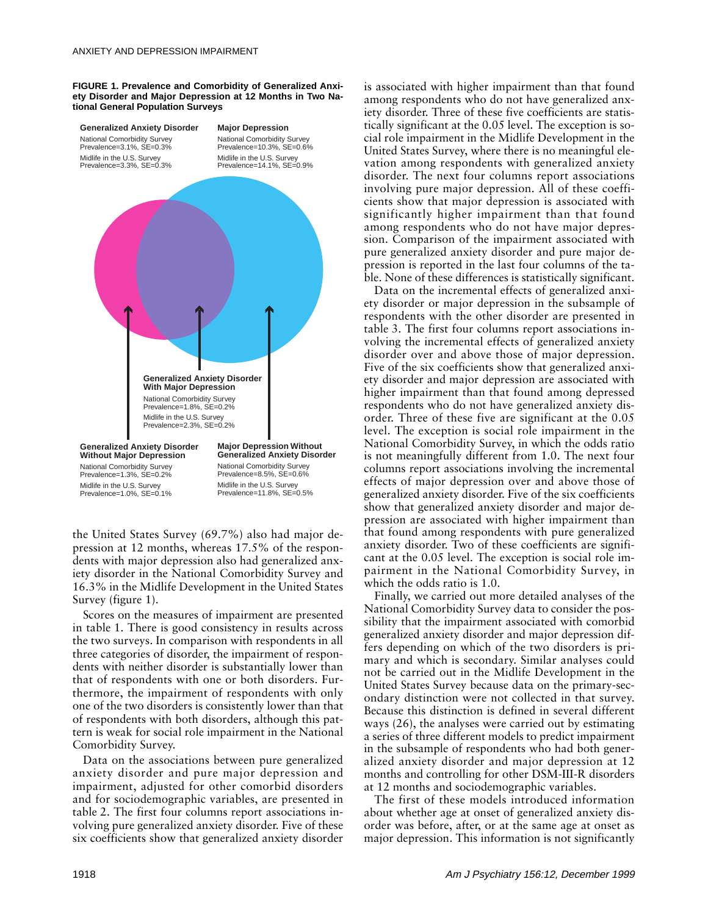**FIGURE 1. Prevalence and Comorbidity of Generalized Anxiety Disorder and Major Depression at 12 Months in Two National General Population Surveys**

**Generalized Anxiety Disorder Without Major Depression** National Comorbidity Survey Prevalence=1.3%, SE=0.2% Midlife in the U.S. Survey **Generalized Anxiety Disorder With Major Depression** National Comorbidity Survey Prevalence=1.8%, SE=0.2% Midlife in the U.S. Survey Prevalence=2.3%, SE=0.2% **Major Depression Without Generalized Anxiety Disorder** National Comorbidity Survey Prevalence=8.5%, SE=0.6% Midlife in the U.S. Survey **Generalized Anxiety Disorder** National Comorbidity Survey Prevalence=3.1%, SE=0.3% Midlife in the U.S. Survey Prevalence=3.3%, SE=0.3% **Major Depression**  National Comorbidity Survey Prevalence=10.3%, SE=0.6% Midlife in the U.S. Survey Prevalence=14.1%, SE=0.9%

the United States Survey (69.7%) also had major depression at 12 months, whereas 17.5% of the respondents with major depression also had generalized anxiety disorder in the National Comorbidity Survey and 16.3% in the Midlife Development in the United States Survey (figure 1).

Prevalence=11.8%, SE=0.5%

Prevalence=1.0%, SE=0.1%

Scores on the measures of impairment are presented in table 1. There is good consistency in results across the two surveys. In comparison with respondents in all three categories of disorder, the impairment of respondents with neither disorder is substantially lower than that of respondents with one or both disorders. Furthermore, the impairment of respondents with only one of the two disorders is consistently lower than that of respondents with both disorders, although this pattern is weak for social role impairment in the National Comorbidity Survey.

Data on the associations between pure generalized anxiety disorder and pure major depression and impairment, adjusted for other comorbid disorders and for sociodemographic variables, are presented in table 2. The first four columns report associations involving pure generalized anxiety disorder. Five of these six coefficients show that generalized anxiety disorder is associated with higher impairment than that found among respondents who do not have generalized anxiety disorder. Three of these five coefficients are statistically significant at the 0.05 level. The exception is social role impairment in the Midlife Development in the United States Survey, where there is no meaningful elevation among respondents with generalized anxiety disorder. The next four columns report associations involving pure major depression. All of these coefficients show that major depression is associated with significantly higher impairment than that found among respondents who do not have major depression. Comparison of the impairment associated with pure generalized anxiety disorder and pure major depression is reported in the last four columns of the table. None of these differences is statistically significant.

Data on the incremental effects of generalized anxiety disorder or major depression in the subsample of respondents with the other disorder are presented in table 3. The first four columns report associations involving the incremental effects of generalized anxiety disorder over and above those of major depression. Five of the six coefficients show that generalized anxiety disorder and major depression are associated with higher impairment than that found among depressed respondents who do not have generalized anxiety disorder. Three of these five are significant at the 0.05 level. The exception is social role impairment in the National Comorbidity Survey, in which the odds ratio is not meaningfully different from 1.0. The next four columns report associations involving the incremental effects of major depression over and above those of generalized anxiety disorder. Five of the six coefficients show that generalized anxiety disorder and major depression are associated with higher impairment than that found among respondents with pure generalized anxiety disorder. Two of these coefficients are significant at the 0.05 level. The exception is social role impairment in the National Comorbidity Survey, in which the odds ratio is 1.0.

Finally, we carried out more detailed analyses of the National Comorbidity Survey data to consider the possibility that the impairment associated with comorbid generalized anxiety disorder and major depression differs depending on which of the two disorders is primary and which is secondary. Similar analyses could not be carried out in the Midlife Development in the United States Survey because data on the primary-secondary distinction were not collected in that survey. Because this distinction is defined in several different ways (26), the analyses were carried out by estimating a series of three different models to predict impairment in the subsample of respondents who had both generalized anxiety disorder and major depression at 12 months and controlling for other DSM-III-R disorders at 12 months and sociodemographic variables.

The first of these models introduced information about whether age at onset of generalized anxiety disorder was before, after, or at the same age at onset as major depression. This information is not significantly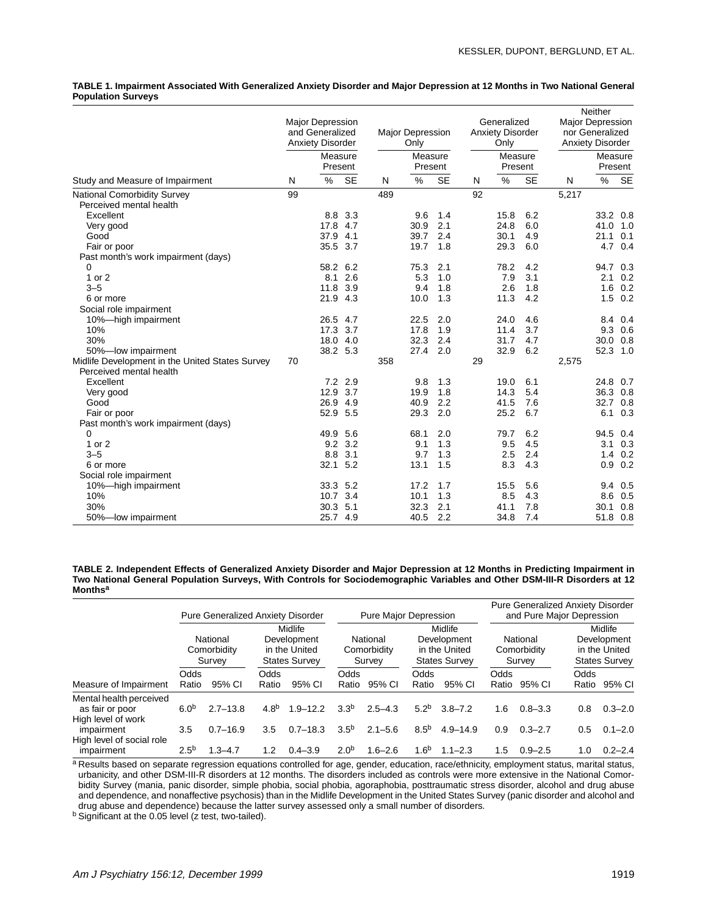| TABLE 1. Impairment Associated With Generalized Anxiety Disorder and Major Depression at 12 Months in Two National General |  |  |  |  |
|----------------------------------------------------------------------------------------------------------------------------|--|--|--|--|
| <b>Population Surveys</b>                                                                                                  |  |  |  |  |

|                                                 |                                            |                         |                    |      |         |                         |         |             |                 |                         | Neither  |           |
|-------------------------------------------------|--------------------------------------------|-------------------------|--------------------|------|---------|-------------------------|---------|-------------|-----------------|-------------------------|----------|-----------|
|                                                 |                                            | <b>Major Depression</b> |                    |      |         |                         |         | Generalized |                 | Major Depression        |          |           |
|                                                 | and Generalized<br><b>Anxiety Disorder</b> |                         | Major Depression   |      |         | <b>Anxiety Disorder</b> |         |             | nor Generalized |                         |          |           |
|                                                 |                                            |                         |                    | Only |         |                         | Only    |             |                 | <b>Anxiety Disorder</b> |          |           |
|                                                 | Measure<br>Present                         |                         | Measure<br>Present |      | Measure |                         |         |             |                 | Measure                 |          |           |
|                                                 |                                            |                         |                    |      |         |                         | Present |             |                 | Present                 |          |           |
| Study and Measure of Impairment                 | N                                          | $\%$                    | <b>SE</b>          | N    | $\%$    | <b>SE</b>               | N       | %           | <b>SE</b>       | N                       | %        | <b>SE</b> |
| National Comorbidity Survey                     | 99                                         |                         |                    | 489  |         |                         | 92      |             |                 | 5,217                   |          |           |
| Perceived mental health                         |                                            |                         |                    |      |         |                         |         |             |                 |                         |          |           |
| Excellent                                       |                                            | 8.8                     | 3.3                |      | 9.6     | 1.4                     |         | 15.8        | 6.2             |                         | 33.2 0.8 |           |
| Very good                                       |                                            | 17.8 4.7                |                    |      | 30.9    | 2.1                     |         | 24.8        | 6.0             |                         | 41.0     | 1.0       |
| Good                                            |                                            | 37.9                    | 4.1                |      | 39.7    | 2.4                     |         | 30.1        | 4.9             |                         | 21.1     | 0.1       |
| Fair or poor                                    |                                            | 35.5 3.7                |                    |      | 19.7    | 1.8                     |         | 29.3        | 6.0             |                         | 4.7      | 0.4       |
| Past month's work impairment (days)             |                                            |                         |                    |      |         |                         |         |             |                 |                         |          |           |
| 0                                               |                                            | 58.2                    | 6.2                |      | 75.3    | 2.1                     |         | 78.2        | 4.2             |                         | 94.7     | 0.3       |
| 1 or 2                                          |                                            | 8.1                     | 2.6                |      | 5.3     | 1.0                     |         | 7.9         | 3.1             |                         | 2.1      | 0.2       |
| $3 - 5$                                         |                                            | 11.8 3.9                |                    |      | 9.4     | 1.8                     |         | 2.6         | 1.8             |                         | 1.6      | 0.2       |
| 6 or more                                       |                                            | 21.9 4.3                |                    |      | 10.0    | 1.3                     |         | 11.3        | 4.2             |                         | 1.5      | 0.2       |
| Social role impairment                          |                                            |                         |                    |      |         |                         |         |             |                 |                         |          |           |
| 10%-high impairment                             |                                            | 26.5                    | 4.7                |      | 22.5    | 2.0                     |         | 24.0        | 4.6             |                         | 8.4      | 0.4       |
| 10%                                             |                                            | 17.3                    | 3.7                |      | 17.8    | 1.9                     |         | 11.4        | 3.7             |                         | 9.3      | 0.6       |
| 30%                                             |                                            | 18.0                    | 4.0                |      | 32.3    | 2.4                     |         | 31.7        | 4.7             |                         | 30.0     | 0.8       |
| 50%-low impairment                              |                                            | 38.2 5.3                |                    |      | 27.4    | 2.0                     |         | 32.9        | 6.2             |                         | 52.3 1.0 |           |
| Midlife Development in the United States Survey |                                            |                         |                    | 358  |         |                         | 29      |             |                 | 2,575                   |          |           |
| Perceived mental health                         |                                            |                         |                    |      |         |                         |         |             |                 |                         |          |           |
| Excellent                                       |                                            |                         | $7.2$ 2.9          |      | 9.8     | 1.3                     |         | 19.0        | 6.1             |                         | 24.8 0.7 |           |
| Very good                                       |                                            | 12.9                    | 3.7                |      | 19.9    | 1.8                     |         | 14.3        | 5.4             |                         | 36.3 0.8 |           |
| Good                                            |                                            | 26.9                    | 4.9                |      | 40.9    | 2.2                     |         | 41.5        | 7.6             |                         | 32.7 0.8 |           |
| Fair or poor                                    |                                            | 52.9                    | 5.5                |      | 29.3    | 2.0                     |         | 25.2        | 6.7             |                         | 6.1      | 0.3       |
| Past month's work impairment (days)             |                                            |                         |                    |      |         |                         |         |             |                 |                         |          |           |
| 0                                               |                                            | 49.9                    | 5.6                |      | 68.1    | 2.0                     |         | 79.7        | 6.2             |                         | 94.5     | 0.4       |
| 1 or 2                                          |                                            |                         | $9.2$ 3.2          |      | 9.1     | 1.3                     |         | 9.5         | 4.5             |                         | 3.1      | 0.3       |
| $3 - 5$                                         |                                            | 8.8                     | 3.1                |      | 9.7     | 1.3                     |         | 2.5         | 2.4             |                         | 1.4      | 0.2       |
| 6 or more                                       |                                            | 32.1                    | 5.2                |      | 13.1    | 1.5                     |         | 8.3         | 4.3             |                         | 0.9      | 0.2       |
| Social role impairment                          |                                            |                         |                    |      |         |                         |         |             |                 |                         |          |           |
| 10%-high impairment                             |                                            | 33.3                    | 5.2                |      | 17.2    | 1.7                     |         | 15.5        | 5.6             |                         | 9.4      | 0.5       |
| 10%                                             |                                            | 10.7 3.4                |                    |      | 10.1    | 1.3                     |         | 8.5         | 4.3             |                         | 8.6      | 0.5       |
| 30%                                             |                                            | 30.3                    | 5.1                |      | 32.3    | 2.1                     |         | 41.1        | 7.8             |                         | 30.1     | 0.8       |
| 50%-low impairment                              |                                            | 25.7 4.9                |                    |      | 40.5    | 2.2                     |         | 34.8        | 7.4             |                         | 51.8 0.8 |           |

**TABLE 2. Independent Effects of Generalized Anxiety Disorder and Major Depression at 12 Months in Predicting Impairment in Two National General Population Surveys, With Controls for Sociodemographic Variables and Other DSM-III-R Disorders at 12 Months<sup>a</sup>**

|                                                                  | <b>Pure Generalized Anxiety Disorder</b> |              |                                                                 |              | Pure Major Depression             |             |                                                                 |              | <b>Pure Generalized Anxiety Disorder</b><br>and Pure Major Depression |             |                                                                 |             |
|------------------------------------------------------------------|------------------------------------------|--------------|-----------------------------------------------------------------|--------------|-----------------------------------|-------------|-----------------------------------------------------------------|--------------|-----------------------------------------------------------------------|-------------|-----------------------------------------------------------------|-------------|
| Measure of Impairment                                            | National<br>Comorbidity<br>Survey        |              | Midlife<br>Development<br>in the United<br><b>States Survey</b> |              | National<br>Comorbidity<br>Survey |             | Midlife<br>Development<br>in the United<br><b>States Survey</b> |              | National<br>Comorbidity<br>Survey                                     |             | Midlife<br>Development<br>in the United<br><b>States Survey</b> |             |
|                                                                  | Odds<br>Ratio                            | 95% CI       | Odds<br>Ratio                                                   | 95% CI       | Odds<br>Ratio                     | 95% CI      | Odds<br>Ratio                                                   | 95% CI       | Odds<br>Ratio                                                         | 95% CI      | Odds<br>Ratio                                                   | 95% CI      |
| Mental health perceived<br>as fair or poor<br>High level of work | 6.0 <sup>b</sup>                         | $2.7 - 13.8$ | 4.8 <sup>b</sup>                                                | $1.9 - 12.2$ | 3.3 <sup>b</sup>                  | $2.5 - 4.3$ | $5.2^{b}$                                                       | $3.8 - 7.2$  | 1.6                                                                   | $0.8 - 3.3$ | 0.8                                                             | $0.3 - 2.0$ |
| impairment                                                       | 3.5                                      | $0.7 - 16.9$ | 3.5                                                             | $0.7 - 18.3$ | 3.5 <sup>b</sup>                  | $2.1 - 5.6$ | 8.5 <sup>b</sup>                                                | $4.9 - 14.9$ | 0.9                                                                   | $0.3 - 2.7$ | 0.5                                                             | $0.1 - 2.0$ |
| High level of social role<br>impairment                          | 2.5 <sup>b</sup>                         | $1.3 - 4.7$  | 1.2                                                             | $0.4 - 3.9$  | 2.0 <sup>b</sup>                  | $1.6 - 2.6$ | 1.6 <sup>b</sup>                                                | $1.1 - 2.3$  | 1.5                                                                   | $0.9 - 2.5$ | 1.0                                                             | $0.2 - 2.4$ |

a Results based on separate regression equations controlled for age, gender, education, race/ethnicity, employment status, marital status, urbanicity, and other DSM-III-R disorders at 12 months. The disorders included as controls were more extensive in the National Comorbidity Survey (mania, panic disorder, simple phobia, social phobia, agoraphobia, posttraumatic stress disorder, alcohol and drug abuse and dependence, and nonaffective psychosis) than in the Midlife Development in the United States Survey (panic disorder and alcohol and drug abuse and dependence) because the latter survey assessed only a small number of disorders.

b Significant at the 0.05 level (z test, two-tailed).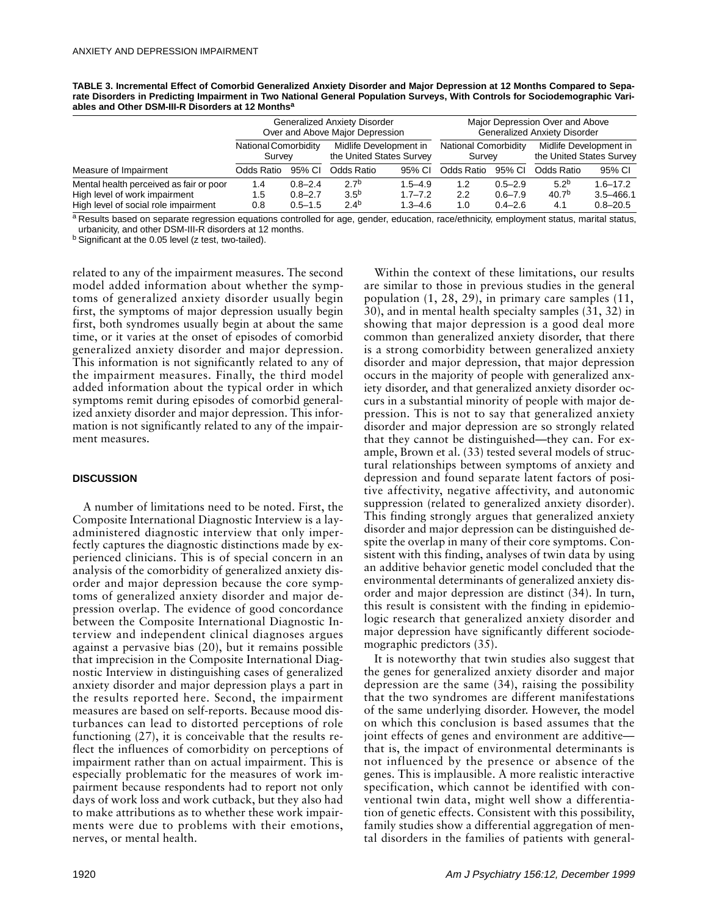|                                                                                                                  |                                |                                           | <b>Generalized Anxiety Disorder</b><br>Over and Above Major Depression |                                           | Major Depression Over and Above<br><b>Generalized Anxiety Disorder</b> |                                           |                                                    |                                               |  |
|------------------------------------------------------------------------------------------------------------------|--------------------------------|-------------------------------------------|------------------------------------------------------------------------|-------------------------------------------|------------------------------------------------------------------------|-------------------------------------------|----------------------------------------------------|-----------------------------------------------|--|
|                                                                                                                  | National Comorbidity<br>Survey |                                           | Midlife Development in<br>the United States Survey                     |                                           | <b>National Comorbidity</b><br>Survey                                  |                                           | Midlife Development in<br>the United States Survey |                                               |  |
| Measure of Impairment                                                                                            | Odds Ratio                     | 95% CI                                    | Odds Ratio                                                             | 95% CI                                    | Odds Ratio                                                             | 95% CI                                    | Odds Ratio                                         | 95% CI                                        |  |
| Mental health perceived as fair or poor<br>High level of work impairment<br>High level of social role impairment | 1.4<br>1.5<br>0.8              | $0.8 - 2.4$<br>$0.8 - 2.7$<br>$0.5 - 1.5$ | $2.7^{b}$<br>$3.5^{b}$<br>$2.4^{b}$                                    | $1.5 - 4.9$<br>$1.7 - 7.2$<br>$1.3 - 4.6$ | 1.2<br>2.2<br>1.0                                                      | $0.5 - 2.9$<br>$0.6 - 7.9$<br>$0.4 - 2.6$ | $5.2^{b}$<br>40.7 <sup>b</sup><br>4.1              | $1.6 - 17.2$<br>$3.5 - 466.1$<br>$0.8 - 20.5$ |  |

**TABLE 3. Incremental Effect of Comorbid Generalized Anxiety Disorder and Major Depression at 12 Months Compared to Separate Disorders in Predicting Impairment in Two National General Population Surveys, With Controls for Sociodemographic Variables and Other DSM-III-R Disorders at 12 Monthsa**

a Results based on separate regression equations controlled for age, gender, education, race/ethnicity, employment status, marital status, urbanicity, and other DSM-III-R disorders at 12 months.

b Significant at the 0.05 level (z test, two-tailed).

related to any of the impairment measures. The second model added information about whether the symptoms of generalized anxiety disorder usually begin first, the symptoms of major depression usually begin first, both syndromes usually begin at about the same time, or it varies at the onset of episodes of comorbid generalized anxiety disorder and major depression. This information is not significantly related to any of the impairment measures. Finally, the third model added information about the typical order in which symptoms remit during episodes of comorbid generalized anxiety disorder and major depression. This information is not significantly related to any of the impairment measures.

# **DISCUSSION**

A number of limitations need to be noted. First, the Composite International Diagnostic Interview is a layadministered diagnostic interview that only imperfectly captures the diagnostic distinctions made by experienced clinicians. This is of special concern in an analysis of the comorbidity of generalized anxiety disorder and major depression because the core symptoms of generalized anxiety disorder and major depression overlap. The evidence of good concordance between the Composite International Diagnostic Interview and independent clinical diagnoses argues against a pervasive bias (20), but it remains possible that imprecision in the Composite International Diagnostic Interview in distinguishing cases of generalized anxiety disorder and major depression plays a part in the results reported here. Second, the impairment measures are based on self-reports. Because mood disturbances can lead to distorted perceptions of role functioning (27), it is conceivable that the results reflect the influences of comorbidity on perceptions of impairment rather than on actual impairment. This is especially problematic for the measures of work impairment because respondents had to report not only days of work loss and work cutback, but they also had to make attributions as to whether these work impairments were due to problems with their emotions, nerves, or mental health.

Within the context of these limitations, our results are similar to those in previous studies in the general population (1, 28, 29), in primary care samples (11, 30), and in mental health specialty samples (31, 32) in showing that major depression is a good deal more common than generalized anxiety disorder, that there is a strong comorbidity between generalized anxiety disorder and major depression, that major depression occurs in the majority of people with generalized anxiety disorder, and that generalized anxiety disorder occurs in a substantial minority of people with major depression. This is not to say that generalized anxiety disorder and major depression are so strongly related that they cannot be distinguished—they can. For example, Brown et al. (33) tested several models of structural relationships between symptoms of anxiety and depression and found separate latent factors of positive affectivity, negative affectivity, and autonomic suppression (related to generalized anxiety disorder). This finding strongly argues that generalized anxiety disorder and major depression can be distinguished despite the overlap in many of their core symptoms. Consistent with this finding, analyses of twin data by using an additive behavior genetic model concluded that the environmental determinants of generalized anxiety disorder and major depression are distinct (34). In turn, this result is consistent with the finding in epidemiologic research that generalized anxiety disorder and major depression have significantly different sociodemographic predictors (35).

It is noteworthy that twin studies also suggest that the genes for generalized anxiety disorder and major depression are the same (34), raising the possibility that the two syndromes are different manifestations of the same underlying disorder. However, the model on which this conclusion is based assumes that the joint effects of genes and environment are additive that is, the impact of environmental determinants is not influenced by the presence or absence of the genes. This is implausible. A more realistic interactive specification, which cannot be identified with conventional twin data, might well show a differentiation of genetic effects. Consistent with this possibility, family studies show a differential aggregation of mental disorders in the families of patients with general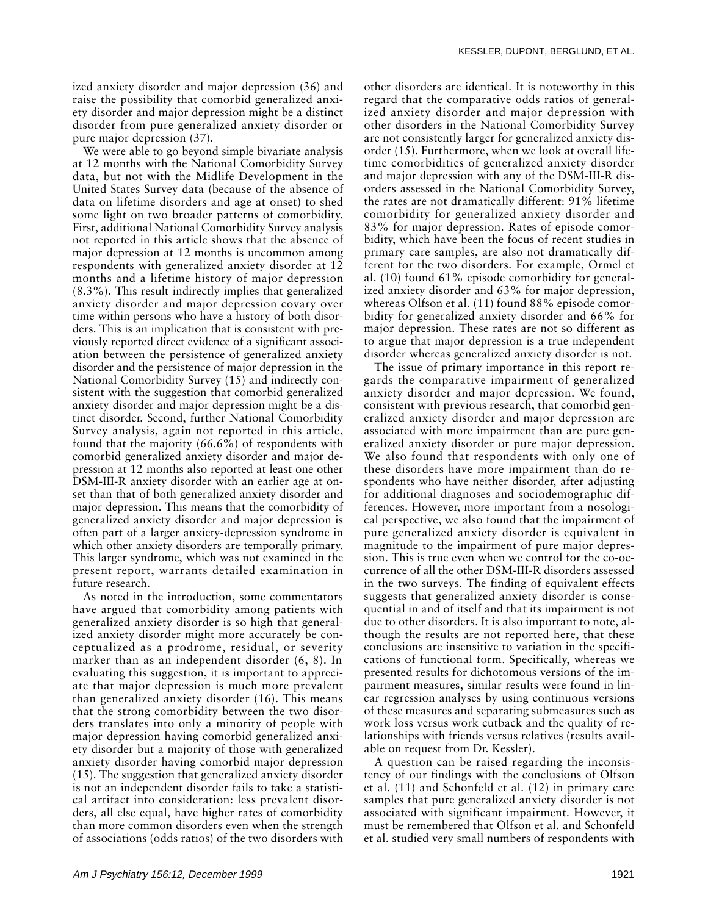ized anxiety disorder and major depression (36) and raise the possibility that comorbid generalized anxiety disorder and major depression might be a distinct disorder from pure generalized anxiety disorder or

pure major depression (37). We were able to go beyond simple bivariate analysis at 12 months with the National Comorbidity Survey data, but not with the Midlife Development in the United States Survey data (because of the absence of data on lifetime disorders and age at onset) to shed some light on two broader patterns of comorbidity. First, additional National Comorbidity Survey analysis not reported in this article shows that the absence of major depression at 12 months is uncommon among respondents with generalized anxiety disorder at 12 months and a lifetime history of major depression (8.3%). This result indirectly implies that generalized anxiety disorder and major depression covary over time within persons who have a history of both disorders. This is an implication that is consistent with previously reported direct evidence of a significant association between the persistence of generalized anxiety disorder and the persistence of major depression in the National Comorbidity Survey (15) and indirectly consistent with the suggestion that comorbid generalized anxiety disorder and major depression might be a distinct disorder. Second, further National Comorbidity Survey analysis, again not reported in this article, found that the majority (66.6%) of respondents with comorbid generalized anxiety disorder and major depression at 12 months also reported at least one other DSM-III-R anxiety disorder with an earlier age at onset than that of both generalized anxiety disorder and major depression. This means that the comorbidity of generalized anxiety disorder and major depression is often part of a larger anxiety-depression syndrome in which other anxiety disorders are temporally primary. This larger syndrome, which was not examined in the present report, warrants detailed examination in future research.

As noted in the introduction, some commentators have argued that comorbidity among patients with generalized anxiety disorder is so high that generalized anxiety disorder might more accurately be conceptualized as a prodrome, residual, or severity marker than as an independent disorder (6, 8). In evaluating this suggestion, it is important to appreciate that major depression is much more prevalent than generalized anxiety disorder (16). This means that the strong comorbidity between the two disorders translates into only a minority of people with major depression having comorbid generalized anxiety disorder but a majority of those with generalized anxiety disorder having comorbid major depression (15). The suggestion that generalized anxiety disorder is not an independent disorder fails to take a statistical artifact into consideration: less prevalent disorders, all else equal, have higher rates of comorbidity than more common disorders even when the strength of associations (odds ratios) of the two disorders with other disorders are identical. It is noteworthy in this regard that the comparative odds ratios of generalized anxiety disorder and major depression with other disorders in the National Comorbidity Survey are not consistently larger for generalized anxiety disorder (15). Furthermore, when we look at overall lifetime comorbidities of generalized anxiety disorder and major depression with any of the DSM-III-R disorders assessed in the National Comorbidity Survey, the rates are not dramatically different: 91% lifetime comorbidity for generalized anxiety disorder and 83% for major depression. Rates of episode comorbidity, which have been the focus of recent studies in primary care samples, are also not dramatically different for the two disorders. For example, Ormel et al. (10) found 61% episode comorbidity for generalized anxiety disorder and 63% for major depression, whereas Olfson et al. (11) found 88% episode comorbidity for generalized anxiety disorder and 66% for major depression. These rates are not so different as to argue that major depression is a true independent disorder whereas generalized anxiety disorder is not.

The issue of primary importance in this report regards the comparative impairment of generalized anxiety disorder and major depression. We found, consistent with previous research, that comorbid generalized anxiety disorder and major depression are associated with more impairment than are pure generalized anxiety disorder or pure major depression. We also found that respondents with only one of these disorders have more impairment than do respondents who have neither disorder, after adjusting for additional diagnoses and sociodemographic differences. However, more important from a nosological perspective, we also found that the impairment of pure generalized anxiety disorder is equivalent in magnitude to the impairment of pure major depression. This is true even when we control for the co-occurrence of all the other DSM-III-R disorders assessed in the two surveys. The finding of equivalent effects suggests that generalized anxiety disorder is consequential in and of itself and that its impairment is not due to other disorders. It is also important to note, although the results are not reported here, that these conclusions are insensitive to variation in the specifications of functional form. Specifically, whereas we presented results for dichotomous versions of the impairment measures, similar results were found in linear regression analyses by using continuous versions of these measures and separating submeasures such as work loss versus work cutback and the quality of relationships with friends versus relatives (results available on request from Dr. Kessler).

A question can be raised regarding the inconsistency of our findings with the conclusions of Olfson et al. (11) and Schonfeld et al. (12) in primary care samples that pure generalized anxiety disorder is not associated with significant impairment. However, it must be remembered that Olfson et al. and Schonfeld et al. studied very small numbers of respondents with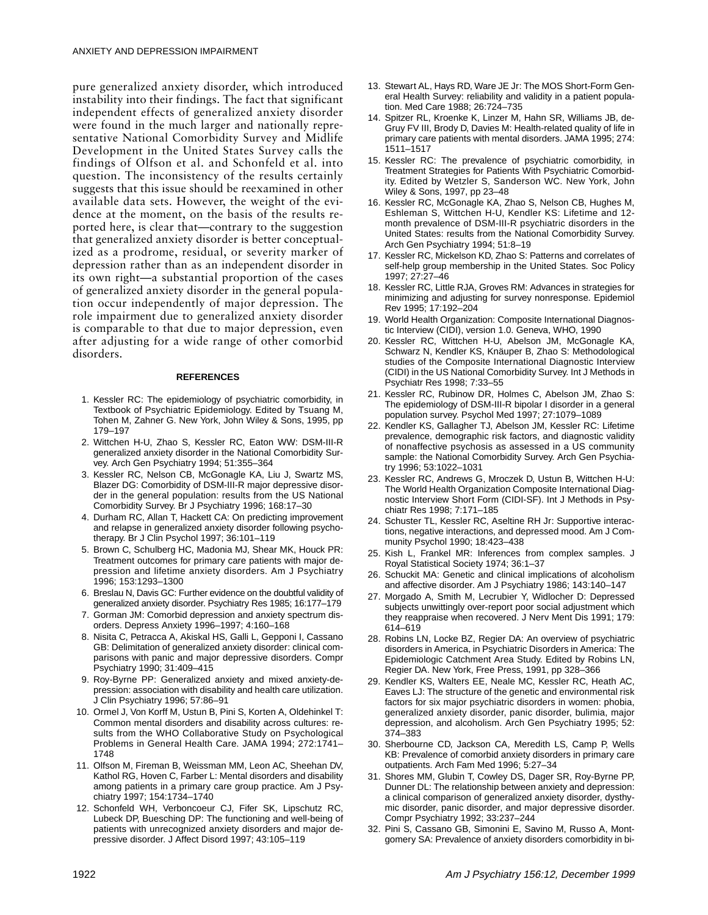pure generalized anxiety disorder, which introduced instability into their findings. The fact that significant independent effects of generalized anxiety disorder were found in the much larger and nationally representative National Comorbidity Survey and Midlife Development in the United States Survey calls the findings of Olfson et al. and Schonfeld et al. into question. The inconsistency of the results certainly suggests that this issue should be reexamined in other available data sets. However, the weight of the evidence at the moment, on the basis of the results reported here, is clear that—contrary to the suggestion that generalized anxiety disorder is better conceptualized as a prodrome, residual, or severity marker of depression rather than as an independent disorder in its own right—a substantial proportion of the cases of generalized anxiety disorder in the general population occur independently of major depression. The role impairment due to generalized anxiety disorder is comparable to that due to major depression, even after adjusting for a wide range of other comorbid disorders.

#### **REFERENCES**

- 1. Kessler RC: The epidemiology of psychiatric comorbidity, in Textbook of Psychiatric Epidemiology. Edited by Tsuang M, Tohen M, Zahner G. New York, John Wiley & Sons, 1995, pp 179–197
- 2. Wittchen H-U, Zhao S, Kessler RC, Eaton WW: DSM-III-R generalized anxiety disorder in the National Comorbidity Survey. Arch Gen Psychiatry 1994; 51:355–364
- 3. Kessler RC, Nelson CB, McGonagle KA, Liu J, Swartz MS, Blazer DG: Comorbidity of DSM-III-R major depressive disorder in the general population: results from the US National Comorbidity Survey. Br J Psychiatry 1996; 168:17–30
- 4. Durham RC, Allan T, Hackett CA: On predicting improvement and relapse in generalized anxiety disorder following psychotherapy. Br J Clin Psychol 1997; 36:101–119
- 5. Brown C, Schulberg HC, Madonia MJ, Shear MK, Houck PR: Treatment outcomes for primary care patients with major depression and lifetime anxiety disorders. Am J Psychiatry 1996; 153:1293–1300
- 6. Breslau N, Davis GC: Further evidence on the doubtful validity of generalized anxiety disorder. Psychiatry Res 1985; 16:177–179
- 7. Gorman JM: Comorbid depression and anxiety spectrum disorders. Depress Anxiety 1996–1997; 4:160–168
- 8. Nisita C, Petracca A, Akiskal HS, Galli L, Gepponi I, Cassano GB: Delimitation of generalized anxiety disorder: clinical comparisons with panic and major depressive disorders. Compr Psychiatry 1990; 31:409–415
- 9. Roy-Byrne PP: Generalized anxiety and mixed anxiety-depression: association with disability and health care utilization. J Clin Psychiatry 1996; 57:86–91
- 10. Ormel J, Von Korff M, Ustun B, Pini S, Korten A, Oldehinkel T: Common mental disorders and disability across cultures: results from the WHO Collaborative Study on Psychological Problems in General Health Care. JAMA 1994; 272:1741– 1748
- 11. Olfson M, Fireman B, Weissman MM, Leon AC, Sheehan DV, Kathol RG, Hoven C, Farber L: Mental disorders and disability among patients in a primary care group practice. Am J Psychiatry 1997; 154:1734–1740
- 12. Schonfeld WH, Verboncoeur CJ, Fifer SK, Lipschutz RC, Lubeck DP, Buesching DP: The functioning and well-being of patients with unrecognized anxiety disorders and major depressive disorder. J Affect Disord 1997; 43:105–119
- 13. Stewart AL, Hays RD, Ware JE Jr: The MOS Short-Form General Health Survey: reliability and validity in a patient population. Med Care 1988; 26:724–735
- 14. Spitzer RL, Kroenke K, Linzer M, Hahn SR, Williams JB, de-Gruy FV III, Brody D, Davies M: Health-related quality of life in primary care patients with mental disorders. JAMA 1995; 274: 1511–1517
- 15. Kessler RC: The prevalence of psychiatric comorbidity, in Treatment Strategies for Patients With Psychiatric Comorbidity. Edited by Wetzler S, Sanderson WC. New York, John Wiley & Sons, 1997, pp 23–48
- 16. Kessler RC, McGonagle KA, Zhao S, Nelson CB, Hughes M, Eshleman S, Wittchen H-U, Kendler KS: Lifetime and 12 month prevalence of DSM-III-R psychiatric disorders in the United States: results from the National Comorbidity Survey. Arch Gen Psychiatry 1994; 51:8–19
- 17. Kessler RC, Mickelson KD, Zhao S: Patterns and correlates of self-help group membership in the United States. Soc Policy 1997; 27:27–46
- 18. Kessler RC, Little RJA, Groves RM: Advances in strategies for minimizing and adjusting for survey nonresponse. Epidemiol Rev 1995; 17:192–204
- 19. World Health Organization: Composite International Diagnostic Interview (CIDI), version 1.0. Geneva, WHO, 1990
- 20. Kessler RC, Wittchen H-U, Abelson JM, McGonagle KA, Schwarz N, Kendler KS, Knäuper B, Zhao S: Methodological studies of the Composite International Diagnostic Interview (CIDI) in the US National Comorbidity Survey. Int J Methods in Psychiatr Res 1998; 7:33–55
- 21. Kessler RC, Rubinow DR, Holmes C, Abelson JM, Zhao S: The epidemiology of DSM-III-R bipolar I disorder in a general population survey. Psychol Med 1997; 27:1079–1089
- 22. Kendler KS, Gallagher TJ, Abelson JM, Kessler RC: Lifetime prevalence, demographic risk factors, and diagnostic validity of nonaffective psychosis as assessed in a US community sample: the National Comorbidity Survey. Arch Gen Psychiatry 1996; 53:1022–1031
- 23. Kessler RC, Andrews G, Mroczek D, Ustun B, Wittchen H-U: The World Health Organization Composite International Diagnostic Interview Short Form (CIDI-SF). Int J Methods in Psychiatr Res 1998; 7:171–185
- 24. Schuster TL, Kessler RC, Aseltine RH Jr: Supportive interactions, negative interactions, and depressed mood. Am J Community Psychol 1990; 18:423–438
- 25. Kish L, Frankel MR: Inferences from complex samples. J Royal Statistical Society 1974; 36:1–37
- 26. Schuckit MA: Genetic and clinical implications of alcoholism and affective disorder. Am J Psychiatry 1986; 143:140–147
- 27. Morgado A, Smith M, Lecrubier Y, Widlocher D: Depressed subjects unwittingly over-report poor social adjustment which they reappraise when recovered. J Nerv Ment Dis 1991; 179: 614–619
- 28. Robins LN, Locke BZ, Regier DA: An overview of psychiatric disorders in America, in Psychiatric Disorders in America: The Epidemiologic Catchment Area Study. Edited by Robins LN, Regier DA. New York, Free Press, 1991, pp 328–366
- 29. Kendler KS, Walters EE, Neale MC, Kessler RC, Heath AC, Eaves LJ: The structure of the genetic and environmental risk factors for six major psychiatric disorders in women: phobia, generalized anxiety disorder, panic disorder, bulimia, major depression, and alcoholism. Arch Gen Psychiatry 1995; 52: 374–383
- 30. Sherbourne CD, Jackson CA, Meredith LS, Camp P, Wells KB: Prevalence of comorbid anxiety disorders in primary care outpatients. Arch Fam Med 1996; 5:27–34
- 31. Shores MM, Glubin T, Cowley DS, Dager SR, Roy-Byrne PP, Dunner DL: The relationship between anxiety and depression: a clinical comparison of generalized anxiety disorder, dysthymic disorder, panic disorder, and major depressive disorder. Compr Psychiatry 1992; 33:237–244
- 32. Pini S, Cassano GB, Simonini E, Savino M, Russo A, Montgomery SA: Prevalence of anxiety disorders comorbidity in bi-